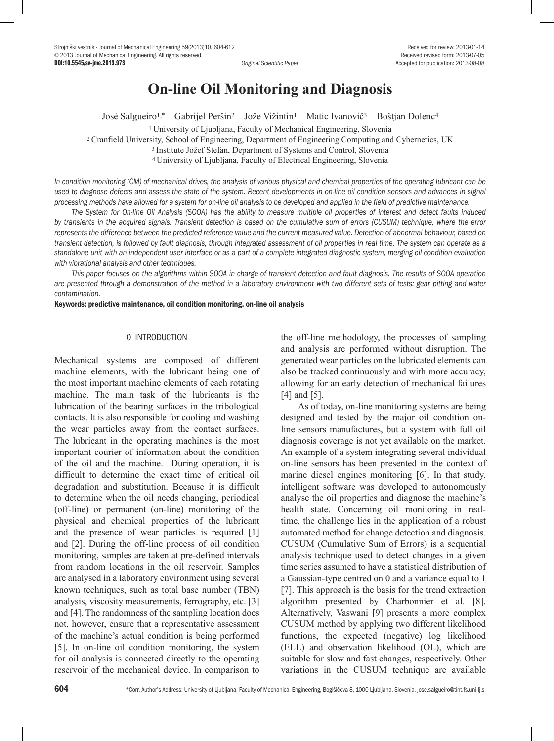# **On-line Oil Monitoring and Diagnosis**

José Salgueiro1,\* – Gabrijel Peršin2 – Jože Vižintin1 – Matic Ivanovič3 – Boštjan Dolenc4

1 University of Ljubljana, Faculty of Mechanical Engineering, Slovenia 2 Cranfield University, School of Engineering, Department of Engineering Computing and Cybernetics, UK <sup>3</sup>Institute Jožef Stefan, Department of Systems and Control, Slovenia 4 University of Ljubljana, Faculty of Electrical Engineering, Slovenia

*In condition monitoring (CM) of mechanical drives, the analysis of various physical and chemical properties of the operating lubricant can be used to diagnose defects and assess the state of the system. Recent developments in on-line oil condition sensors and advances in signal processing methods have allowed for a system for on-line oil analysis to be developed and applied in the field of predictive maintenance.*

*The System for On-line Oil Analysis (SOOA) has the ability to measure multiple oil properties of interest and detect faults induced by transients in the acquired signals. Transient detection is based on the cumulative sum of errors (CUSUM) technique, where the error represents the difference between the predicted reference value and the current measured value. Detection of abnormal behaviour, based on transient detection, is followed by fault diagnosis, through integrated assessment of oil properties in real time. The system can operate as a standalone unit with an independent user interface or as a part of a complete integrated diagnostic system, merging oil condition evaluation with vibrational analysis and other techniques.* 

*This paper focuses on the algorithms within SOOA in charge of transient detection and fault diagnosis. The results of SOOA operation are presented through a demonstration of the method in a laboratory environment with two different sets of tests: gear pitting and water contamination.*

Keywords: predictive maintenance, oil condition monitoring, on-line oil analysis

### 0 INTRODUCTION

Mechanical systems are composed of different machine elements, with the lubricant being one of the most important machine elements of each rotating machine. The main task of the lubricants is the lubrication of the bearing surfaces in the tribological contacts. It is also responsible for cooling and washing the wear particles away from the contact surfaces. The lubricant in the operating machines is the most important courier of information about the condition of the oil and the machine. During operation, it is difficult to determine the exact time of critical oil degradation and substitution. Because it is difficult to determine when the oil needs changing, periodical (off-line) or permanent (on-line) monitoring of the physical and chemical properties of the lubricant and the presence of wear particles is required [1] and [2]. During the off-line process of oil condition monitoring, samples are taken at pre-defined intervals from random locations in the oil reservoir. Samples are analysed in a laboratory environment using several known techniques, such as total base number (TBN) analysis, viscosity measurements, ferrography, etc. [3] and [4]. The randomness of the sampling location does not, however, ensure that a representative assessment of the machine's actual condition is being performed [5]. In on-line oil condition monitoring, the system for oil analysis is connected directly to the operating reservoir of the mechanical device. In comparison to

the off-line methodology, the processes of sampling and analysis are performed without disruption. The generated wear particles on the lubricated elements can also be tracked continuously and with more accuracy, allowing for an early detection of mechanical failures [4] and [5].

As of today, on-line monitoring systems are being designed and tested by the major oil condition online sensors manufactures, but a system with full oil diagnosis coverage is not yet available on the market. An example of a system integrating several individual on-line sensors has been presented in the context of marine diesel engines monitoring [6]. In that study, intelligent software was developed to autonomously analyse the oil properties and diagnose the machine's health state. Concerning oil monitoring in realtime, the challenge lies in the application of a robust automated method for change detection and diagnosis. CUSUM (Cumulative Sum of Errors) is a sequential analysis technique used to detect changes in a given time series assumed to have a statistical distribution of a Gaussian-type centred on 0 and a variance equal to 1 [7]. This approach is the basis for the trend extraction algorithm presented by Charbonnier et al. [8]. Alternatively, Vaswani [9] presents a more complex CUSUM method by applying two different likelihood functions, the expected (negative) log likelihood (ELL) and observation likelihood (OL), which are suitable for slow and fast changes, respectively. Other variations in the CUSUM technique are available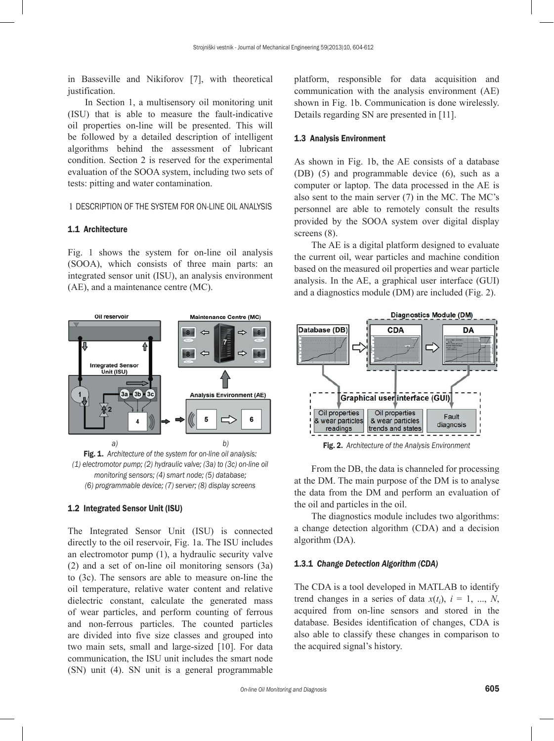in Basseville and Nikiforov [7], with theoretical justification.

In Section 1, a multisensory oil monitoring unit (ISU) that is able to measure the fault-indicative oil properties on-line will be presented. This will be followed by a detailed description of intelligent algorithms behind the assessment of lubricant condition. Section 2 is reserved for the experimental evaluation of the SOOA system, including two sets of tests: pitting and water contamination.

1 DESCRIPTION OF THE SYSTEM FOR ON-LINE OIL ANALYSIS

#### 1.1 Architecture

Fig. 1 shows the system for on-line oil analysis (SOOA), which consists of three main parts: an integrated sensor unit (ISU), an analysis environment (AE), and a maintenance centre (MC).



Fig. 1. *Architecture of the system for on-line oil analysis: (1) electromotor pump; (2) hydraulic valve; (3a) to (3c) on-line oil monitoring sensors; (4) smart node; (5) database; (6) programmable device; (7) server; (8) display screens*

#### 1.2 Integrated Sensor Unit (ISU)

The Integrated Sensor Unit (ISU) is connected directly to the oil reservoir, Fig. 1a. The ISU includes an electromotor pump (1), a hydraulic security valve (2) and a set of on-line oil monitoring sensors (3a) to (3c). The sensors are able to measure on-line the oil temperature, relative water content and relative dielectric constant, calculate the generated mass of wear particles, and perform counting of ferrous and non-ferrous particles. The counted particles are divided into five size classes and grouped into two main sets, small and large-sized [10]. For data communication, the ISU unit includes the smart node (SN) unit (4). SN unit is a general programmable platform, responsible for data acquisition and communication with the analysis environment (AE) shown in Fig. 1b. Communication is done wirelessly. Details regarding SN are presented in [11].

# 1.3 Analysis Environment

As shown in Fig. 1b, the AE consists of a database (DB) (5) and programmable device (6), such as a computer or laptop. The data processed in the AE is also sent to the main server (7) in the MC. The MC's personnel are able to remotely consult the results provided by the SOOA system over digital display screens  $(8)$ .

The AE is a digital platform designed to evaluate the current oil, wear particles and machine condition based on the measured oil properties and wear particle analysis. In the AE, a graphical user interface (GUI) and a diagnostics module (DM) are included (Fig. 2).



Fig. 2. *Architecture of the Analysis Environment*

From the DB, the data is channeled for processing at the DM. The main purpose of the DM is to analyse the data from the DM and perform an evaluation of the oil and particles in the oil.

The diagnostics module includes two algorithms: a change detection algorithm (CDA) and a decision algorithm (DA).

# 1.3.1 *Change Detection Algorithm (CDA)*

The CDA is a tool developed in MATLAB to identify trend changes in a series of data  $x(t_i)$ ,  $i = 1, ..., N$ , acquired from on-line sensors and stored in the database. Besides identification of changes, CDA is also able to classify these changes in comparison to the acquired signal's history.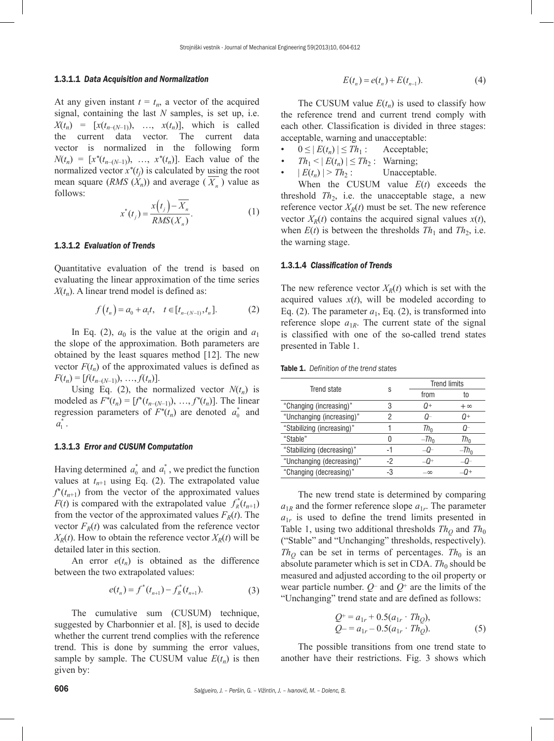#### 1.3.1.1 *Data Acquisition and Normalization*

At any given instant  $t = t_n$ , a vector of the acquired signal, containing the last *N* samples, is set up, i.e.  $X(t_n) = [x(t_{n-(N-1)}), \ldots, x(t_n)],$  which is called the current data vector. The current data vector is normalized in the following form  $N(t_n) = [x^*(t_{n-(N-1)}), \ldots, x^*(t_n)].$  Each value of the normalized vector  $x^*(t_j)$  is calculated by using the root mean square  $(RMS(X_n))$  and average  $(X_n)$  value as follows:

$$
x^*(t_j) = \frac{x(t_j) - \overline{X_n}}{RMS(X_n)}.
$$
 (1)

# 1.3.1.2 *Evaluation of Trends*

Quantitative evaluation of the trend is based on evaluating the linear approximation of the time series  $X(t_n)$ . A linear trend model is defined as:

$$
f(t_n) = a_0 + a_1 t, \quad t \in [t_{n-(N-1)}, t_n].
$$
 (2)

In Eq. (2),  $a_0$  is the value at the origin and  $a_1$ the slope of the approximation. Both parameters are obtained by the least squares method [12]. The new vector  $F(t_n)$  of the approximated values is defined as  $F(t_n) = [f(t_{n-(N-1)}), \ldots, f(t_n)].$ 

Using Eq. (2), the normalized vector  $N(t_n)$  is modeled as  $F^*(t_n) = [f^*(t_{n-(N-1)}), \ldots, f^*(t_n)]$ . The linear regression parameters of  $F^*(t_n)$  are denoted  $a_0^*$  and  $a_1^*$  .

# 1.3.1.3 *Error and CUSUM Computation*

Having determined  $a_0^*$  and  $a_1^*$ , we predict the function values at  $t_{n+1}$  using Eq. (2). The extrapolated value  $f^*(t_{n+1})$  from the vector of the approximated values  $F(t)$  is compared with the extrapolated value  $f_R^*(t_{n+1})$ from the vector of the approximated values  $F_R(t)$ . The vector  $F_R(t)$  was calculated from the reference vector  $X_R(t)$ . How to obtain the reference vector  $X_R(t)$  will be detailed later in this section.

An error  $e(t_n)$  is obtained as the difference between the two extrapolated values:

$$
e(t_n) = f^*(t_{n+1}) - f^*_R(t_{n+1}).
$$
\n(3)

The cumulative sum (CUSUM) technique, suggested by Charbonnier et al. [8], is used to decide whether the current trend complies with the reference trend. This is done by summing the error values, sample by sample. The CUSUM value  $E(t_n)$  is then given by:

$$
E(t_n) = e(t_n) + E(t_{n-1}).
$$
\n(4)

The CUSUM value  $E(t_n)$  is used to classify how the reference trend and current trend comply with each other. Classification is divided in three stages: acceptable, warning and unacceptable:

- $0 \leq |E(t_n)| \leq Th_1$ : Acceptable;
- 
- $Th_1 < |E(t_n)| \le Th_2$ : Warning;<br> $|E(t_n)| > Th_2$ : Unacceptable.  $| E(t_n) | > Th_2$ :

When the CUSUM value *E*(*t*) exceeds the threshold  $Th_2$ , i.e. the unacceptable stage, a new reference vector  $X_R(t)$  must be set. The new reference vector  $X_R(t)$  contains the acquired signal values  $x(t)$ , when  $E(t)$  is between the thresholds  $Th_1$  and  $Th_2$ , i.e. the warning stage.

# 1.3.1.4 *Classification of Trends*

The new reference vector  $X_R(t)$  which is set with the acquired values  $x(t)$ , will be modeled according to Eq. (2). The parameter  $a_1$ , Eq. (2), is transformed into reference slope  $a_{1R}$ . The current state of the signal is classified with one of the so-called trend states presented in Table 1.

| <b>Table 1.</b> Definition of the trend states |
|------------------------------------------------|
|                                                |

| Trend state                |    | <b>Trend limits</b> |           |  |
|----------------------------|----|---------------------|-----------|--|
|                            | S  | from                | to        |  |
| "Changing (increasing)"    | 3  | 0+                  | $+\infty$ |  |
| "Unchanging (increasing)"  | 2  | O-                  | $Q+$      |  |
| "Stabilizing (increasing)" |    | $Th_{0}$            | (J-       |  |
| "Stable"                   |    | $-Th_0$             | Tho       |  |
| "Stabilizing (decreasing)" | -1 |                     | $-Th_0$   |  |
| "Unchanging (decreasing)"  | -2 | -0+                 |           |  |
| "Changing (decreasing)"    | -3 | $-\infty$           |           |  |

The new trend state is determined by comparing  $a_{1R}$  and the former reference slope  $a_{1r}$ . The parameter  $a_{1r}$  is used to define the trend limits presented in Table 1, using two additional thresholds  $Th<sub>O</sub>$  and  $Th<sub>0</sub>$ ("Stable" and "Unchanging" thresholds, respectively).  $Th<sub>O</sub>$  can be set in terms of percentages. *Th*<sub>0</sub> is an absolute parameter which is set in CDA.  $Th_0$  should be measured and adjusted according to the oil property or wear particle number.  $Q$ – and  $Q$ <sup>+</sup> are the limits of the "Unchanging" trend state and are defined as follows:

$$
Q^{+} = a_{1r} + 0.5(a_{1r} \cdot Th_Q),
$$
  
\n
$$
Q^{-} = a_{1r} - 0.5(a_{1r} \cdot Th_Q).
$$
\n(5)

The possible transitions from one trend state to another have their restrictions. Fig. 3 shows which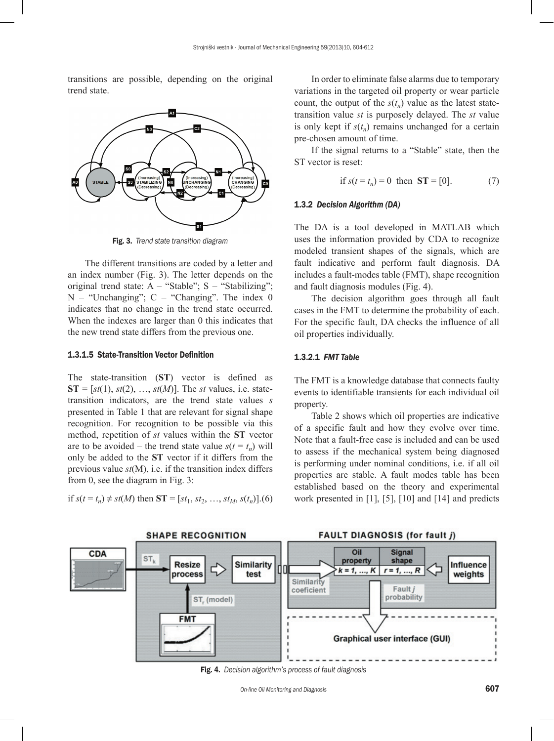transitions are possible, depending on the original trend state.



Fig. 3. *Trend state transition diagram*

The different transitions are coded by a letter and an index number (Fig. 3). The letter depends on the original trend state:  $A - "Stable"; S - "Stabilizing";$  $N -$  "Unchanging";  $C -$  "Changing". The index 0 indicates that no change in the trend state occurred. When the indexes are larger than 0 this indicates that the new trend state differs from the previous one.

# 1.3.1.5 State-Transition Vector Definition

The state-transition (**ST**) vector is defined as  $ST = [st(1), st(2), ..., st(M)].$  The *st* values, i.e. statetransition indicators, are the trend state values *s* presented in Table 1 that are relevant for signal shape recognition. For recognition to be possible via this method, repetition of *st* values within the **ST** vector are to be avoided – the trend state value  $s(t = t_n)$  will only be added to the **ST** vector if it differs from the previous value *st*(M), i.e. if the transition index differs from 0, see the diagram in Fig. 3:

if 
$$
s(t = t_n) \neq st(M)
$$
 then  $ST = [st_1, st_2, ..., st_M, s(t_n)]$ . (6)

In order to eliminate false alarms due to temporary variations in the targeted oil property or wear particle count, the output of the  $s(t_n)$  value as the latest statetransition value *st* is purposely delayed. The *st* value is only kept if  $s(t_n)$  remains unchanged for a certain pre-chosen amount of time.

If the signal returns to a "Stable" state, then the ST vector is reset:

if 
$$
s(t = t_n) = 0
$$
 then  $ST = [0]$ . (7)

#### 1.3.2 *Decision Algorithm (DA)*

The DA is a tool developed in MATLAB which uses the information provided by CDA to recognize modeled transient shapes of the signals, which are fault indicative and perform fault diagnosis. DA includes a fault-modes table (FMT), shape recognition and fault diagnosis modules (Fig. 4).

The decision algorithm goes through all fault cases in the FMT to determine the probability of each. For the specific fault, DA checks the influence of all oil properties individually.

# 1.3.2.1 *FMT Table*

The FMT is a knowledge database that connects faulty events to identifiable transients for each individual oil property.

Table 2 shows which oil properties are indicative of a specific fault and how they evolve over time. Note that a fault-free case is included and can be used to assess if the mechanical system being diagnosed is performing under nominal conditions, i.e. if all oil properties are stable. A fault modes table has been established based on the theory and experimental work presented in [1], [5], [10] and [14] and predicts



Fig. 4. *Decision algorithm's process of fault diagnosis*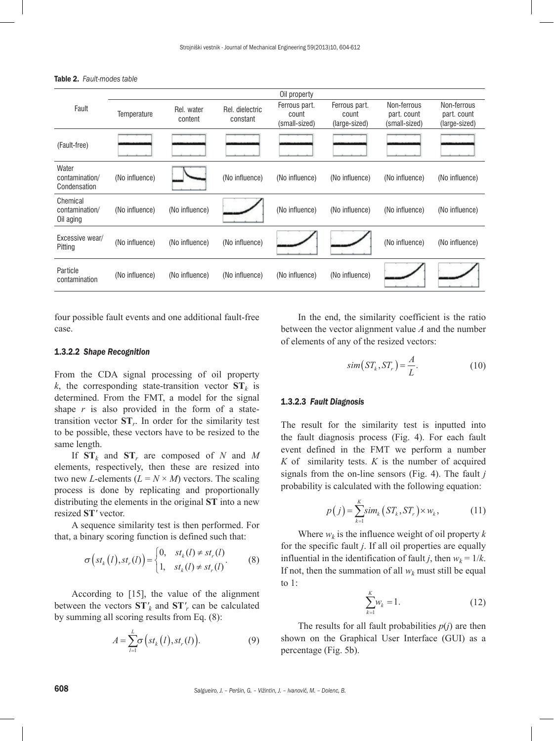|                |                       |                             | Oil property                            |                                         |                                             |                                             |
|----------------|-----------------------|-----------------------------|-----------------------------------------|-----------------------------------------|---------------------------------------------|---------------------------------------------|
| Temperature    | Rel. water<br>content | Rel. dielectric<br>constant | Ferrous part.<br>count<br>(small-sized) | Ferrous part.<br>count<br>(large-sized) | Non-ferrous<br>part. count<br>(small-sized) | Non-ferrous<br>part. count<br>(large-sized) |
|                |                       |                             |                                         |                                         |                                             |                                             |
| (No influence) |                       | (No influence)              | (No influence)                          | (No influence)                          | (No influence)                              | (No influence)                              |
| (No influence) | (No influence)        |                             | (No influence)                          | (No influence)                          | (No influence)                              | (No influence)                              |
| (No influence) | (No influence)        | (No influence)              |                                         |                                         | (No influence)                              | (No influence)                              |
| (No influence) | (No influence)        | (No influence)              | (No influence)                          | (No influence)                          |                                             |                                             |
|                |                       |                             |                                         |                                         |                                             |                                             |

Table 2. *Fault-modes table* 

four possible fault events and one additional fault-free case.

# 1.3.2.2 *Shape Recognition*

From the CDA signal processing of oil property *k*, the corresponding state-transition vector  $ST_k$  is determined. From the FMT, a model for the signal shape  $r$  is also provided in the form of a statetransition vector **ST***r*. In order for the similarity test to be possible, these vectors have to be resized to the same length.

If  $ST_k$  and  $ST_r$  are composed of *N* and *M* elements, respectively, then these are resized into two new *L*-elements  $(L = N \times M)$  vectors. The scaling process is done by replicating and proportionally distributing the elements in the original **ST** into a new resized **ST***'* vector.

A sequence similarity test is then performed. For that, a binary scoring function is defined such that:

$$
\sigma\left(st_k\left(l\right),st_r\left(l\right)\right) = \begin{cases} 0, & st_k\left(l\right) \neq st_r\left(l\right) \\ 1, & st_k\left(l\right) \neq st_r\left(l\right). \end{cases} \tag{8}
$$

According to [15], the value of the alignment between the vectors  $ST'_{k}$  and  $ST'_{r}$  can be calculated by summing all scoring results from Eq. (8):

$$
A = \sum_{l=1}^{L} \sigma\left(st_k\left(l\right), st_r\left(l\right)\right).
$$
 (9)

In the end, the similarity coefficient is the ratio between the vector alignment value *A* and the number of elements of any of the resized vectors:

$$
sim(ST_k, ST_r) = \frac{A}{L}.
$$
\n(10)

#### 1.3.2.3 *Fault Diagnosis*

The result for the similarity test is inputted into the fault diagnosis process (Fig. 4). For each fault event defined in the FMT we perform a number *K* of similarity tests. *K* is the number of acquired signals from the on-line sensors (Fig. 4). The fault *j* probability is calculated with the following equation:

$$
p(j) = \sum_{k=1}^{K} \text{sim}_k \left( ST_k, ST_r \right) \times w_k, \tag{11}
$$

Where  $w_k$  is the influence weight of oil property  $k$ for the specific fault *j*. If all oil properties are equally influential in the identification of fault *j*, then  $w_k = 1/k$ . If not, then the summation of all  $w_k$  must still be equal to 1:

$$
\sum_{k=1}^{K} w_k = 1. \tag{12}
$$

The results for all fault probabilities  $p(j)$  are then shown on the Graphical User Interface (GUI) as a percentage (Fig. 5b).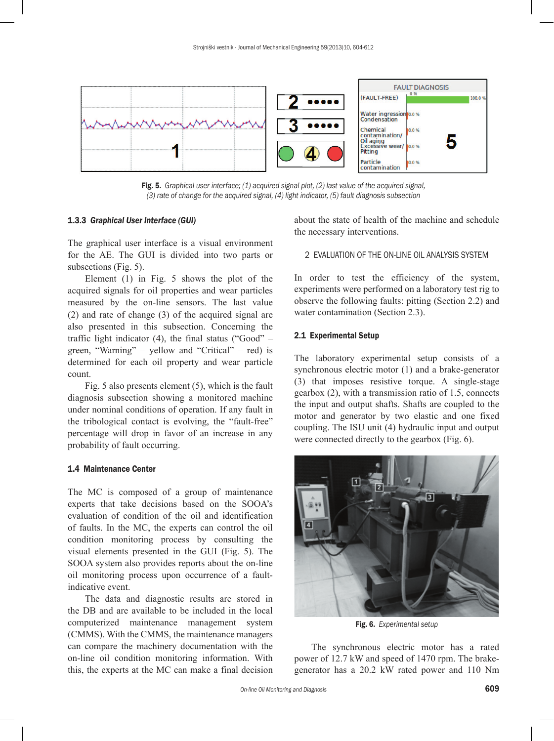

Fig. 5. *Graphical user interface; (1) acquired signal plot, (2) last value of the acquired signal, (3) rate of change for the acquired signal, (4) light indicator, (5) fault diagnosis subsection*

#### 1.3.3 *Graphical User Interface (GUI)*

The graphical user interface is a visual environment for the AE. The GUI is divided into two parts or subsections (Fig. 5).

Element (1) in Fig. 5 shows the plot of the acquired signals for oil properties and wear particles measured by the on-line sensors. The last value (2) and rate of change (3) of the acquired signal are also presented in this subsection. Concerning the traffic light indicator  $(4)$ , the final status ("Good" – green, "Warning" – yellow and "Critical" – red) is determined for each oil property and wear particle count.

Fig. 5 also presents element (5), which is the fault diagnosis subsection showing a monitored machine under nominal conditions of operation. If any fault in the tribological contact is evolving, the "fault-free" percentage will drop in favor of an increase in any probability of fault occurring.

# 1.4 Maintenance Center

The MC is composed of a group of maintenance experts that take decisions based on the SOOA's evaluation of condition of the oil and identification of faults. In the MC, the experts can control the oil condition monitoring process by consulting the visual elements presented in the GUI (Fig. 5). The SOOA system also provides reports about the on-line oil monitoring process upon occurrence of a faultindicative event.

The data and diagnostic results are stored in the DB and are available to be included in the local computerized maintenance management system (CMMS). With the CMMS, the maintenance managers can compare the machinery documentation with the on-line oil condition monitoring information. With this, the experts at the MC can make a final decision

about the state of health of the machine and schedule the necessary interventions.

# 2 EVALUATION OF THE ON-LINE OIL ANALYSIS SYSTEM

In order to test the efficiency of the system, experiments were performed on a laboratory test rig to observe the following faults: pitting (Section 2.2) and water contamination (Section 2.3).

# 2.1 Experimental Setup

The laboratory experimental setup consists of a synchronous electric motor (1) and a brake-generator (3) that imposes resistive torque. A single-stage gearbox (2), with a transmission ratio of 1.5, connects the input and output shafts. Shafts are coupled to the motor and generator by two elastic and one fixed coupling. The ISU unit (4) hydraulic input and output were connected directly to the gearbox (Fig. 6).



Fig. 6. *Experimental setup*

The synchronous electric motor has a rated power of 12.7 kW and speed of 1470 rpm. The brakegenerator has a 20.2 kW rated power and 110 Nm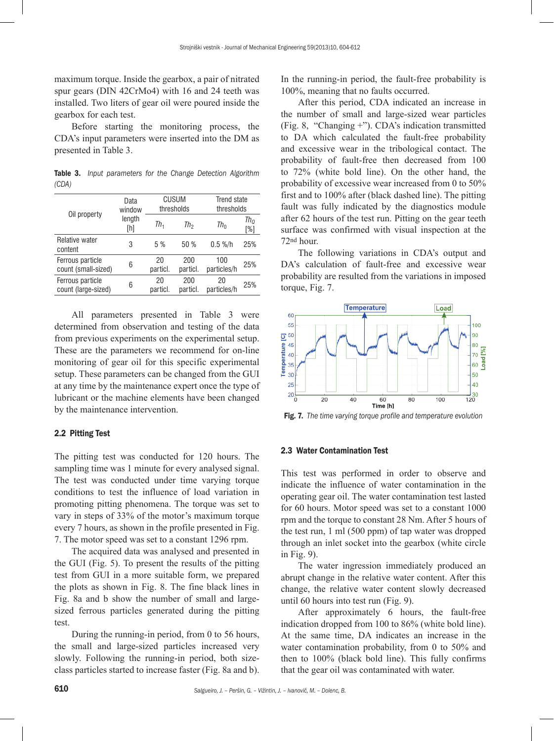maximum torque. Inside the gearbox, a pair of nitrated spur gears (DIN 42CrMo4) with 16 and 24 teeth was installed. Two liters of gear oil were poured inside the gearbox for each test.

Before starting the monitoring process, the CDA's input parameters were inserted into the DM as presented in Table 3.

Table 3. *Input parameters for the Change Detection Algorithm (CDA)*

| Data<br>window | CUSUM<br>thresholds |                 | Trend state<br>thresholds |                      |
|----------------|---------------------|-----------------|---------------------------|----------------------|
| length<br>[h]  | Th <sub>1</sub>     | Th <sub>2</sub> | $Th_{0}$                  | $Th_{\Omega}$<br>[%] |
| 3              | 5 %                 | 50 %            | $0.5 %$ /h                | 25%                  |
| 6              | 20<br>particl.      | 200<br>particl. | 100<br>particles/h        | 25%                  |
| 6              | 20<br>particl.      | 200<br>particl. | 20<br>particles/h         | 25%                  |
|                |                     |                 |                           |                      |

All parameters presented in Table 3 were determined from observation and testing of the data from previous experiments on the experimental setup. These are the parameters we recommend for on-line monitoring of gear oil for this specific experimental setup. These parameters can be changed from the GUI at any time by the maintenance expert once the type of lubricant or the machine elements have been changed by the maintenance intervention.

# 2.2 Pitting Test

The pitting test was conducted for 120 hours. The sampling time was 1 minute for every analysed signal. The test was conducted under time varying torque conditions to test the influence of load variation in promoting pitting phenomena. The torque was set to vary in steps of 33% of the motor's maximum torque every 7 hours, as shown in the profile presented in Fig. 7. The motor speed was set to a constant 1296 rpm.

The acquired data was analysed and presented in the GUI (Fig. 5). To present the results of the pitting test from GUI in a more suitable form, we prepared the plots as shown in Fig. 8. The fine black lines in Fig. 8a and b show the number of small and largesized ferrous particles generated during the pitting test.

During the running-in period, from 0 to 56 hours, the small and large-sized particles increased very slowly. Following the running-in period, both sizeclass particles started to increase faster (Fig. 8a and b). In the running-in period, the fault-free probability is 100%, meaning that no faults occurred.

After this period, CDA indicated an increase in the number of small and large-sized wear particles (Fig. 8, "Changing +"). CDA's indication transmitted to DA which calculated the fault-free probability and excessive wear in the tribological contact. The probability of fault-free then decreased from 100 to 72% (white bold line). On the other hand, the probability of excessive wear increased from 0 to 50% first and to 100% after (black dashed line). The pitting fault was fully indicated by the diagnostics module after 62 hours of the test run. Pitting on the gear teeth surface was confirmed with visual inspection at the 72nd hour.

The following variations in CDA's output and DA's calculation of fault-free and excessive wear probability are resulted from the variations in imposed torque, [Fig. 7.](#page-6-0)



<span id="page-6-0"></span>Fig. 7. *The time varying torque profile and temperature evolution*

#### 2.3 Water Contamination Test

This test was performed in order to observe and indicate the influence of water contamination in the operating gear oil. The water contamination test lasted for 60 hours. Motor speed was set to a constant 1000 rpm and the torque to constant 28 Nm. After 5 hours of the test run, 1 ml (500 ppm) of tap water was dropped through an inlet socket into the gearbox (white circle in Fig. 9).

The water ingression immediately produced an abrupt change in the relative water content. After this change, the relative water content slowly decreased until 60 hours into test run (Fig. 9).

After approximately 6 hours, the fault-free indication dropped from 100 to 86% (white bold line). At the same time, DA indicates an increase in the water contamination probability, from 0 to 50% and then to 100% (black bold line). This fully confirms that the gear oil was contaminated with water.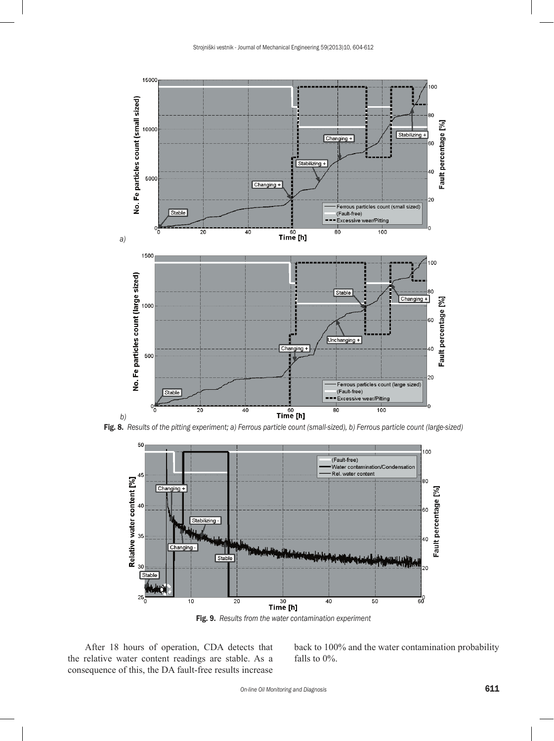





Fig. 9. *Results from the water contamination experiment*

After 18 hours of operation, CDA detects that the relative water content readings are stable. As a consequence of this, the DA fault-free results increase

back to 100% and the water contamination probability falls to 0%.